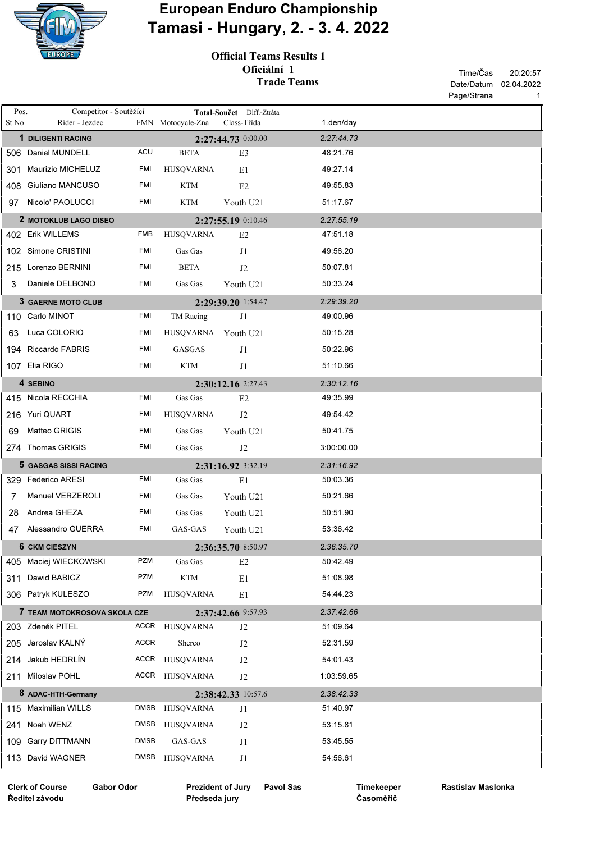

## European Enduro Championship Tamasi - Hungary, 2. - 3. 4. 2022

Official Teams Results 1 Oficiální 1 Trade Teams

|                                             |                                          |                          |                     |                           |            |                        | Page/Strana<br>1 |
|---------------------------------------------|------------------------------------------|--------------------------|---------------------|---------------------------|------------|------------------------|------------------|
| Pos.                                        | Competitor - Soutěžící                   |                          |                     | Total-Součet Diff.-Ztráta |            |                        |                  |
| St.No                                       | Rider - Jezdec                           |                          | FMN Motocycle-Zna   | Class-Třída               |            | 1.den/day              |                  |
|                                             | 1 DILIGENTI RACING<br>506 Daniel MUNDELL | ACU                      | <b>BETA</b>         | 2:27:44.73 0:00.00        |            | 2:27:44.73<br>48:21.76 |                  |
|                                             |                                          |                          |                     | E3                        |            |                        |                  |
| 301                                         | <b>Maurizio MICHELUZ</b>                 | FMI                      | <b>HUSQVARNA</b>    | E1                        |            | 49:27.14               |                  |
|                                             | 408 Giuliano MANCUSO                     | FMI                      | <b>KTM</b>          | E <sub>2</sub>            |            | 49:55.83               |                  |
|                                             | 97 Nicolo' PAOLUCCI                      | FMI                      | <b>KTM</b>          | Youth U21                 |            | 51:17.67               |                  |
|                                             | 2 MOTOKLUB LAGO DISEO                    | 2:27:55.19 0:10.46       |                     |                           | 2:27:55.19 |                        |                  |
|                                             | 402 Erik WILLEMS                         | FMB                      | <b>HUSQVARNA</b>    | E <sub>2</sub>            |            | 47:51.18               |                  |
|                                             | 102 Simone CRISTINI                      | <b>FMI</b>               | Gas Gas             | J1                        |            | 49:56.20               |                  |
|                                             | 215 Lorenzo BERNINI                      | FMI                      | <b>BETA</b>         | J <sub>2</sub>            |            | 50:07.81               |                  |
| 3                                           | Daniele DELBONO                          | FMI                      | Gas Gas             | Youth U21                 |            | 50:33.24               |                  |
|                                             | 3 GAERNE MOTO CLUB                       |                          |                     | 2:29:39.20 1:54.47        |            | 2:29:39.20             |                  |
|                                             | 110 Carlo MINOT                          | <b>FMI</b>               | TM Racing           | J1                        |            | 49:00.96               |                  |
| 63                                          | Luca COLORIO                             | <b>FMI</b>               | HUSQVARNA Youth U21 |                           |            | 50:15.28               |                  |
|                                             | 194 Riccardo FABRIS                      | <b>FMI</b>               | GASGAS              | J1                        |            | 50:22.96               |                  |
|                                             | 107 Elia RIGO                            | FMI                      | <b>KTM</b>          | J1                        |            | 51:10.66               |                  |
|                                             | 4 SEBINO                                 |                          | 2:30:12.16 2:27.43  | 2:30:12.16                |            |                        |                  |
|                                             | 415 Nicola RECCHIA                       | <b>FMI</b>               | Gas Gas             | E <sub>2</sub>            |            | 49:35.99               |                  |
|                                             | 216 Yuri QUART                           | FMI                      | <b>HUSQVARNA</b>    | J <sub>2</sub>            |            | 49:54.42               |                  |
| 69                                          | Matteo GRIGIS                            | FMI                      | Gas Gas             | Youth U21                 |            | 50:41.75               |                  |
|                                             | 274 Thomas GRIGIS                        | FMI                      | Gas Gas             | J2                        |            | 3:00:00.00             |                  |
|                                             | 5 GASGAS SISSI RACING                    |                          | 2:31:16.92 3:32.19  | 2:31:16.92                |            |                        |                  |
|                                             | 329 Federico ARESI                       | <b>FMI</b>               | Gas Gas             | E1                        |            | 50:03.36               |                  |
| 7                                           | Manuel VERZEROLI                         | FMI                      | Gas Gas             | Youth U21                 |            | 50:21.66               |                  |
| 28                                          | Andrea GHEZA                             | FMI                      | Gas Gas             | Youth U21                 |            | 50:51.90               |                  |
| 47                                          | Alessandro GUERRA                        | FMI                      | GAS-GAS             | Youth U21                 |            | 53:36.42               |                  |
|                                             | 6 CKM CIESZYN                            | 2:36:35.70 8:50.97       |                     |                           | 2:36:35.70 |                        |                  |
|                                             | 405 Maciej WIECKOWSKI                    | <b>PZM</b>               | Gas Gas             | E2                        |            | 50:42.49               |                  |
| 311                                         | Dawid BABICZ                             | <b>PZM</b>               | <b>KTM</b>          | E1                        |            | 51:08.98               |                  |
|                                             | 306 Patryk KULESZO                       | <b>PZM</b>               | <b>HUSOVARNA</b>    | E1                        |            | 54:44.23               |                  |
|                                             | 7 TEAM MOTOKROSOVA SKOLA CZE             |                          | 2:37:42.66 9:57.93  | 2:37:42.66                |            |                        |                  |
|                                             | 203 Zdeněk PITEL                         |                          | ACCR HUSQVARNA      | J <sub>2</sub>            |            | 51:09.64               |                  |
|                                             | 205 Jaroslav KALNÝ                       | ACCR                     | Sherco              | J2                        |            | 52:31.59               |                  |
|                                             | 214 Jakub HEDRLÍN                        |                          | ACCR HUSQVARNA      | J2                        |            | 54:01.43               |                  |
|                                             | 211 Miloslav POHL                        |                          | ACCR HUSQVARNA      | J2                        |            | 1:03:59.65             |                  |
|                                             | 8 ADAC-HTH-Germany                       |                          | 2:38:42.33 10:57.6  |                           |            | 2:38:42.33             |                  |
|                                             | 115 Maximilian WILLS                     | DMSB                     | <b>HUSQVARNA</b>    | J1                        |            | 51:40.97               |                  |
|                                             | 241 Noah WENZ                            | <b>DMSB</b>              | HUSQVARNA           | J <sub>2</sub>            |            | 53:15.81               |                  |
|                                             | 109 Garry DITTMANN                       | <b>DMSB</b>              | GAS-GAS             | J1                        |            | 53:45.55               |                  |
|                                             | 113 David WAGNER                         | DMSB                     | HUSQVARNA           | J1                        |            | 54:56.61               |                  |
|                                             |                                          |                          |                     |                           |            |                        |                  |
| <b>Clerk of Course</b><br><b>Gabor Odor</b> |                                          | <b>Prezident of Jury</b> |                     | <b>Pavol Sas</b>          | Timekeeper | Rastislav Maslonka     |                  |

Ředitel závodu

Prezident of Jury Pavol Sas Předseda jury

Časoměřič

Timekeeper Rastislav Maslonka

20:20:57

Date/Datum 02.04.2022

Time/Čas